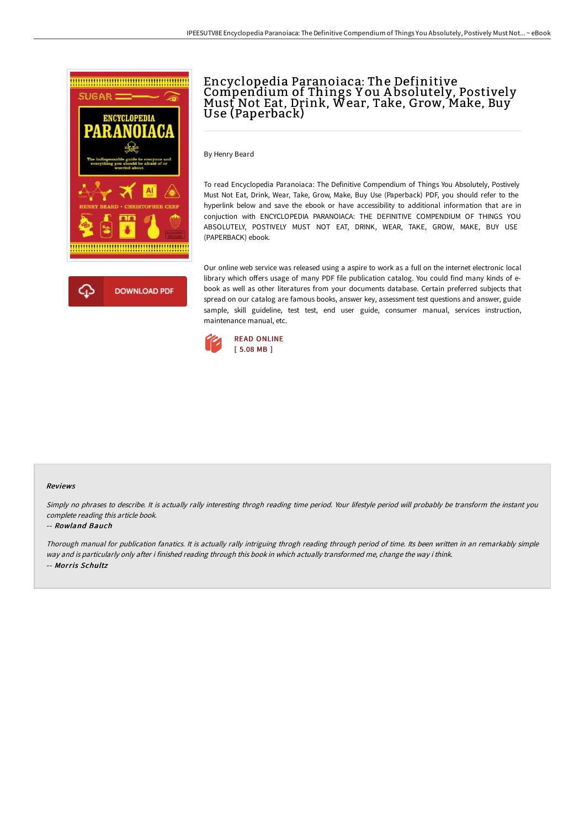

# Encyclopedia Paranoiaca: The Definitive Compendium of Things You Absolutely, Postively<br>Must Not Eat, Drink, Wear, Take, Grow, Make, Buy<br>Use (Paperback)

By Henry Beard

To read Encyclopedia Paranoiaca: The Definitive Compendium of Things You Absolutely, Postively Must Not Eat, Drink, Wear, Take, Grow, Make, Buy Use (Paperback) PDF, you should refer to the hyperlink below and save the ebook or have accessibility to additional information that are in conjuction with ENCYCLOPEDIA PARANOIACA: THE DEFINITIVE COMPENDIUM OF THINGS YOU ABSOLUTELY, POSTIVELY MUST NOT EAT, DRINK, WEAR, TAKE, GROW, MAKE, BUY USE (PAPERBACK) ebook.

Our online web service was released using a aspire to work as a full on the internet electronic local library which offers usage of many PDF file publication catalog. You could find many kinds of ebook as well as other literatures from your documents database. Certain preferred subjects that spread on our catalog are famous books, answer key, assessment test questions and answer, guide sample, skill guideline, test test, end user guide, consumer manual, services instruction, maintenance manual, etc.



## Reviews

Simply no phrases to describe. It is actually rally interesting throgh reading time period. Your lifestyle period will probably be transform the instant you complete reading this article book.

#### -- Rowland Bauch

Thorough manual for publication fanatics. It is actually rally intriguing throgh reading through period of time. Its been written in an remarkably simple way and is particularly only after i finished reading through this book in which actually transformed me, change the way i think. -- Morris Schultz